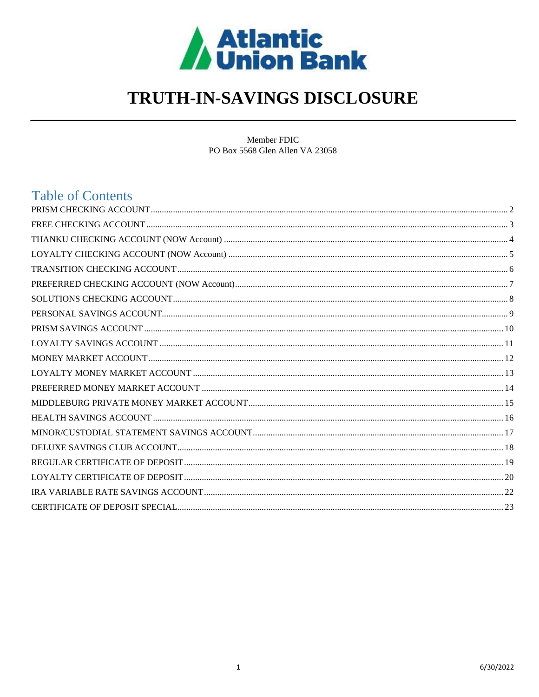

# TRUTH-IN-SAVINGS DISCLOSURE

Member FDIC PO Box 5568 Glen Allen VA 23058

# **Table of Contents**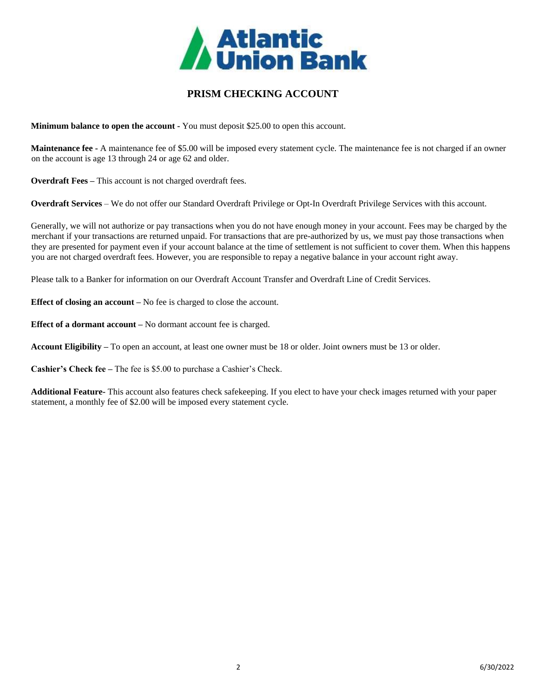

# **PRISM CHECKING ACCOUNT**

<span id="page-1-0"></span>**Minimum balance to open the account -** You must deposit \$25.00 to open this account.

**Maintenance fee -** A maintenance fee of \$5.00 will be imposed every statement cycle. The maintenance fee is not charged if an owner on the account is age 13 through 24 or age 62 and older.

**Overdraft Fees –** This account is not charged overdraft fees.

**Overdraft Services** – We do not offer our Standard Overdraft Privilege or Opt-In Overdraft Privilege Services with this account.

Generally, we will not authorize or pay transactions when you do not have enough money in your account. Fees may be charged by the merchant if your transactions are returned unpaid. For transactions that are pre-authorized by us, we must pay those transactions when they are presented for payment even if your account balance at the time of settlement is not sufficient to cover them. When this happens you are not charged overdraft fees. However, you are responsible to repay a negative balance in your account right away.

Please talk to a Banker for information on our Overdraft Account Transfer and Overdraft Line of Credit Services.

**Effect of closing an account** – No fee is charged to close the account.

**Effect of a dormant account –** No dormant account fee is charged.

**Account Eligibility –** To open an account, at least one owner must be 18 or older. Joint owners must be 13 or older.

**Cashier's Check fee –** The fee is \$5.00 to purchase a Cashier's Check.

**Additional Feature-** This account also features check safekeeping. If you elect to have your check images returned with your paper statement, a monthly fee of \$2.00 will be imposed every statement cycle.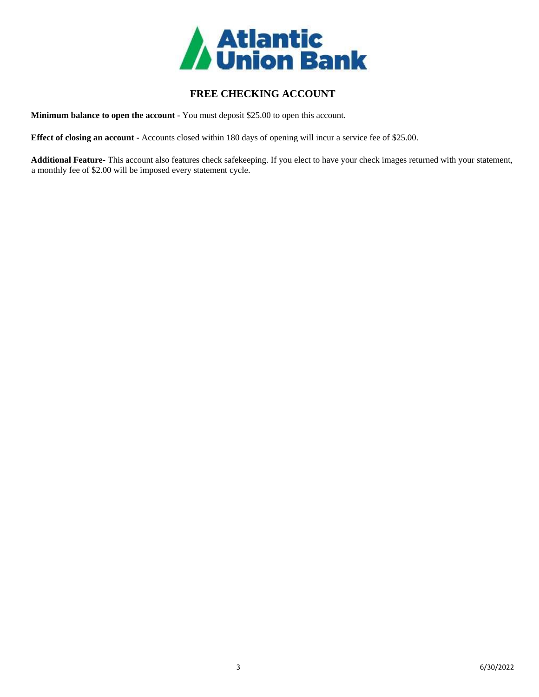

# **FREE CHECKING ACCOUNT**

<span id="page-2-0"></span>**Minimum balance to open the account -** You must deposit \$25.00 to open this account.

**Effect of closing an account -** Accounts closed within 180 days of opening will incur a service fee of \$25.00.

**Additional Feature-** This account also features check safekeeping. If you elect to have your check images returned with your statement, a monthly fee of \$2.00 will be imposed every statement cycle.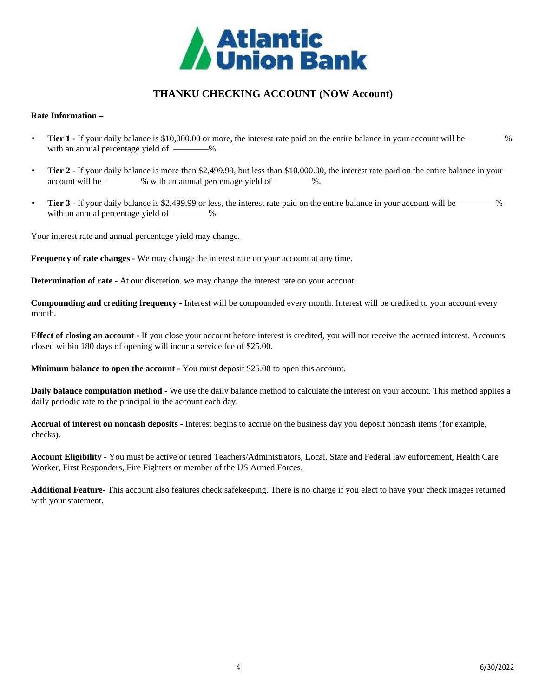

# **THANKU CHECKING ACCOUNT (NOW Account)**

## <span id="page-3-0"></span>**Rate Information –**

- **Tier 1** If your daily balance is \$10,000.00 or more, the interest rate paid on the entire balance in your account will be —————% with an annual percentage yield of  $\longrightarrow\hspace{-3.8mm}-\hspace{-3.8mm}$ %.
- **Tier 2 -** If your daily balance is more than \$2,499.99, but less than \$10,000.00, the interest rate paid on the entire balance in your account will be ————% with an annual percentage yield of ————%.
- **Tier 3** If your daily balance is \$2,499.99 or less, the interest rate paid on the entire balance in your account will be ————% with an annual percentage yield of  $\_\_\_\_\$ .

Your interest rate and annual percentage yield may change.

**Frequency of rate changes -** We may change the interest rate on your account at any time.

**Determination of rate -** At our discretion, we may change the interest rate on your account.

**Compounding and crediting frequency -** Interest will be compounded every month. Interest will be credited to your account every month.

**Effect of closing an account -** If you close your account before interest is credited, you will not receive the accrued interest. Accounts closed within 180 days of opening will incur a service fee of \$25.00.

**Minimum balance to open the account -** You must deposit \$25.00 to open this account.

**Daily balance computation method -** We use the daily balance method to calculate the interest on your account. This method applies a daily periodic rate to the principal in the account each day.

**Accrual of interest on noncash deposits -** Interest begins to accrue on the business day you deposit noncash items (for example, checks).

**Account Eligibility -** You must be active or retired Teachers/Administrators, Local, State and Federal law enforcement, Health Care Worker, First Responders, Fire Fighters or member of the US Armed Forces.

**Additional Feature-** This account also features check safekeeping. There is no charge if you elect to have your check images returned with your statement.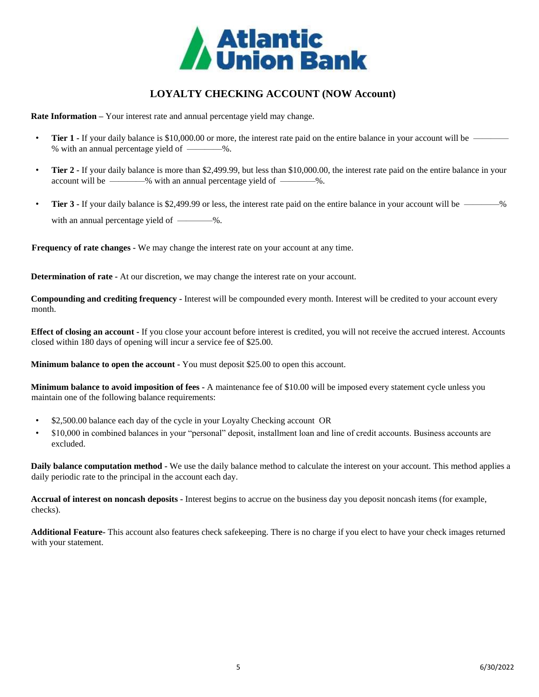

# **LOYALTY CHECKING ACCOUNT (NOW Account)**

<span id="page-4-0"></span>**Rate Information –** Your interest rate and annual percentage yield may change.

- **Tier 1** If your daily balance is \$10,000.00 or more, the interest rate paid on the entire balance in your account will be % with an annual percentage yield of ————%.
- **Tier 2 -** If your daily balance is more than \$2,499.99, but less than \$10,000.00, the interest rate paid on the entire balance in your account will be —————% with an annual percentage yield of —————%.
- **Tier 3** If your daily balance is \$2,499.99 or less, the interest rate paid on the entire balance in your account will be ————% with an annual percentage yield of  $\_\_\_\_\$ .

**Frequency of rate changes -** We may change the interest rate on your account at any time.

**Determination of rate -** At our discretion, we may change the interest rate on your account.

**Compounding and crediting frequency -** Interest will be compounded every month. Interest will be credited to your account every month.

**Effect of closing an account -** If you close your account before interest is credited, you will not receive the accrued interest. Accounts closed within 180 days of opening will incur a service fee of \$25.00.

**Minimum balance to open the account -** You must deposit \$25.00 to open this account.

**Minimum balance to avoid imposition of fees -** A maintenance fee of \$10.00 will be imposed every statement cycle unless you maintain one of the following balance requirements:

- \$2,500.00 balance each day of the cycle in your Loyalty Checking account OR
- \$10,000 in combined balances in your "personal" deposit, installment loan and line of credit accounts. Business accounts are excluded.

**Daily balance computation method -** We use the daily balance method to calculate the interest on your account. This method applies a daily periodic rate to the principal in the account each day.

**Accrual of interest on noncash deposits -** Interest begins to accrue on the business day you deposit noncash items (for example, checks).

**Additional Feature-** This account also features check safekeeping. There is no charge if you elect to have your check images returned with your statement.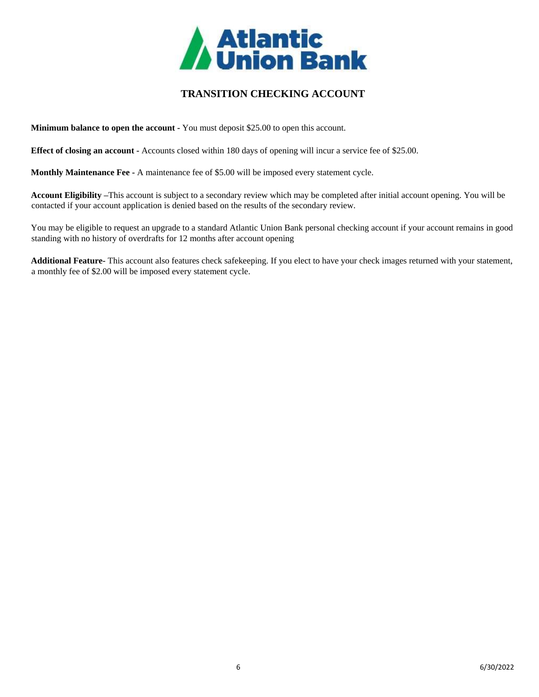

# **TRANSITION CHECKING ACCOUNT**

<span id="page-5-0"></span>**Minimum balance to open the account -** You must deposit \$25.00 to open this account.

**Effect of closing an account -** Accounts closed within 180 days of opening will incur a service fee of \$25.00.

**Monthly Maintenance Fee -** A maintenance fee of \$5.00 will be imposed every statement cycle.

**Account Eligibility –**This account is subject to a secondary review which may be completed after initial account opening. You will be contacted if your account application is denied based on the results of the secondary review.

You may be eligible to request an upgrade to a standard Atlantic Union Bank personal checking account if your account remains in good standing with no history of overdrafts for 12 months after account opening

**Additional Feature-** This account also features check safekeeping. If you elect to have your check images returned with your statement, a monthly fee of \$2.00 will be imposed every statement cycle.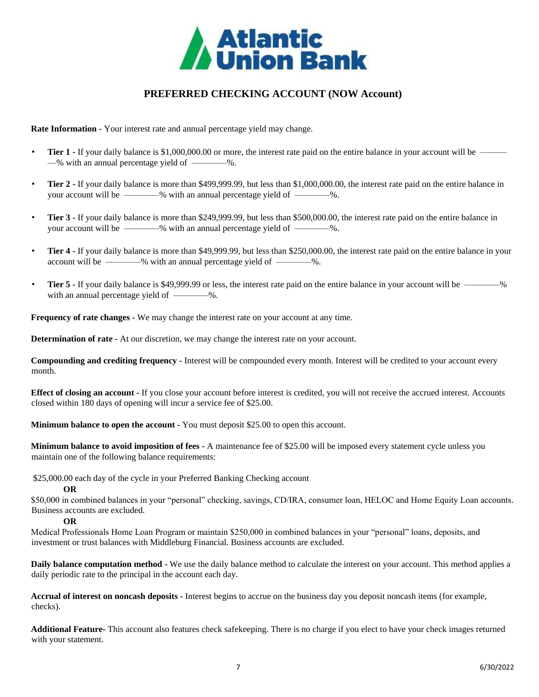

# **PREFERRED CHECKING ACCOUNT (NOW Account)**

<span id="page-6-0"></span>**Rate Information -** Your interest rate and annual percentage yield may change.

- **Tier 1** If your daily balance is \$1,000,000.00 or more, the interest rate paid on the entire balance in your account will be  $-$ % with an annual percentage yield of  $-$ ——%.
- **Tier 2 -** If your daily balance is more than \$499,999.99, but less than \$1,000,000.00, the interest rate paid on the entire balance in your account will be ————% with an annual percentage yield of ————%.
- **Tier 3 -** If your daily balance is more than \$249,999.99, but less than \$500,000.00, the interest rate paid on the entire balance in your account will be ————% with an annual percentage yield of ————%.
- **Tier 4 -** If your daily balance is more than \$49,999.99, but less than \$250,000.00, the interest rate paid on the entire balance in your account will be ————% with an annual percentage yield of ————%.
- Tier 5 If your daily balance is \$49,999.99 or less, the interest rate paid on the entire balance in your account will be —————% with an annual percentage yield of  $\longrightarrow\hspace{-3.8mm}-\hspace{-3.8mm}$ %.

**Frequency of rate changes -** We may change the interest rate on your account at any time.

**Determination of rate -** At our discretion, we may change the interest rate on your account.

**Compounding and crediting frequency -** Interest will be compounded every month. Interest will be credited to your account every month.

**Effect of closing an account -** If you close your account before interest is credited, you will not receive the accrued interest. Accounts closed within 180 days of opening will incur a service fee of \$25.00.

**Minimum balance to open the account -** You must deposit \$25.00 to open this account.

**Minimum balance to avoid imposition of fees -** A maintenance fee of \$25.00 will be imposed every statement cycle unless you maintain one of the following balance requirements:

\$25,000.00 each day of the cycle in your Preferred Banking Checking account

#### **OR**

\$50,000 in combined balances in your "personal" checking, savings, CD/IRA, consumer loan, HELOC and Home Equity Loan accounts. Business accounts are excluded.

**OR**

Medical Professionals Home Loan Program or maintain \$250,000 in combined balances in your "personal" loans, deposits, and investment or trust balances with Middleburg Financial. Business accounts are excluded.

**Daily balance computation method -** We use the daily balance method to calculate the interest on your account. This method applies a daily periodic rate to the principal in the account each day.

**Accrual of interest on noncash deposits -** Interest begins to accrue on the business day you deposit noncash items (for example, checks).

**Additional Feature-** This account also features check safekeeping. There is no charge if you elect to have your check images returned with your statement.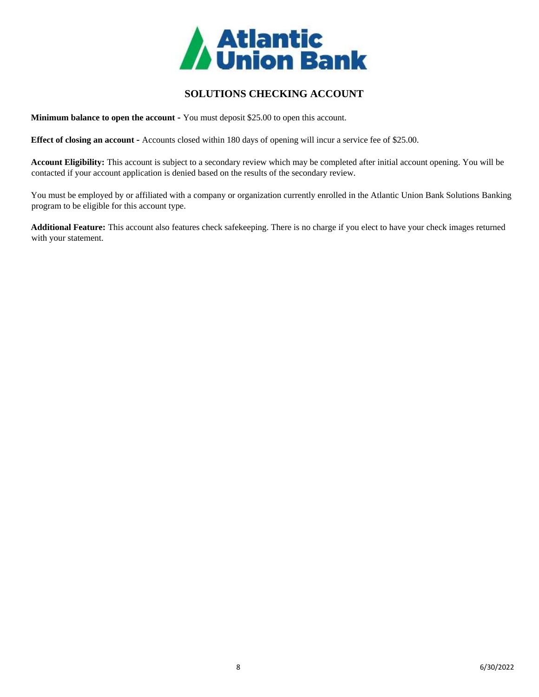

# <span id="page-7-0"></span>**SOLUTIONS CHECKING ACCOUNT**

**Minimum balance to open the account -** You must deposit \$25.00 to open this account.

**Effect of closing an account -** Accounts closed within 180 days of opening will incur a service fee of \$25.00.

**Account Eligibility:** This account is subject to a secondary review which may be completed after initial account opening. You will be contacted if your account application is denied based on the results of the secondary review.

You must be employed by or affiliated with a company or organization currently enrolled in the Atlantic Union Bank Solutions Banking program to be eligible for this account type.

**Additional Feature:** This account also features check safekeeping. There is no charge if you elect to have your check images returned with your statement.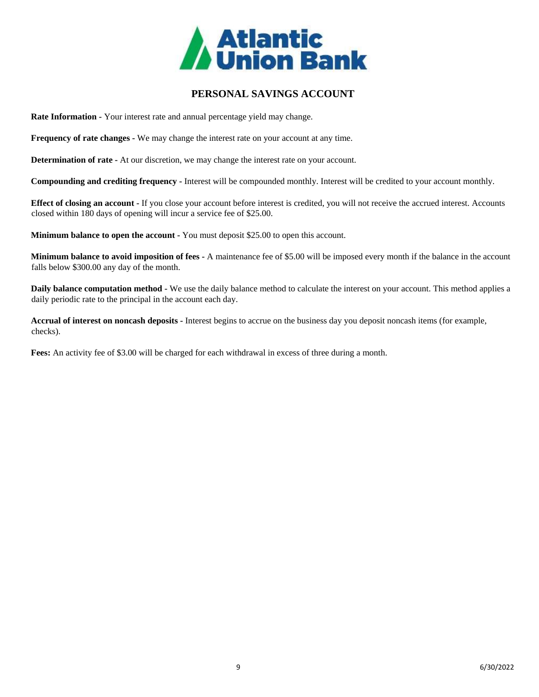

# **PERSONAL SAVINGS ACCOUNT**

<span id="page-8-0"></span>**Rate Information -** Your interest rate and annual percentage yield may change.

**Frequency of rate changes -** We may change the interest rate on your account at any time.

**Determination of rate -** At our discretion, we may change the interest rate on your account.

**Compounding and crediting frequency -** Interest will be compounded monthly. Interest will be credited to your account monthly.

**Effect of closing an account -** If you close your account before interest is credited, you will not receive the accrued interest. Accounts closed within 180 days of opening will incur a service fee of \$25.00.

**Minimum balance to open the account -** You must deposit \$25.00 to open this account.

**Minimum balance to avoid imposition of fees -** A maintenance fee of \$5.00 will be imposed every month if the balance in the account falls below \$300.00 any day of the month.

**Daily balance computation method -** We use the daily balance method to calculate the interest on your account. This method applies a daily periodic rate to the principal in the account each day.

**Accrual of interest on noncash deposits -** Interest begins to accrue on the business day you deposit noncash items (for example, checks).

**Fees:** An activity fee of \$3.00 will be charged for each withdrawal in excess of three during a month.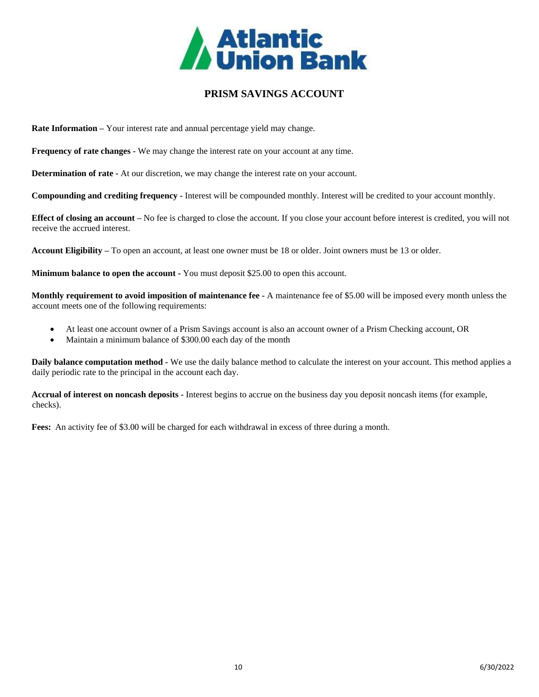

## <span id="page-9-0"></span>**PRISM SAVINGS ACCOUNT**

**Rate Information –** Your interest rate and annual percentage yield may change.

**Frequency of rate changes -** We may change the interest rate on your account at any time.

**Determination of rate -** At our discretion, we may change the interest rate on your account.

**Compounding and crediting frequency -** Interest will be compounded monthly. Interest will be credited to your account monthly.

**Effect of closing an account –** No fee is charged to close the account. If you close your account before interest is credited, you will not receive the accrued interest.

**Account Eligibility –** To open an account, at least one owner must be 18 or older. Joint owners must be 13 or older.

**Minimum balance to open the account -** You must deposit \$25.00 to open this account.

**Monthly requirement to avoid imposition of maintenance fee -** A maintenance fee of \$5.00 will be imposed every month unless the account meets one of the following requirements:

- At least one account owner of a Prism Savings account is also an account owner of a Prism Checking account, OR
- Maintain a minimum balance of \$300.00 each day of the month

**Daily balance computation method -** We use the daily balance method to calculate the interest on your account. This method applies a daily periodic rate to the principal in the account each day.

**Accrual of interest on noncash deposits -** Interest begins to accrue on the business day you deposit noncash items (for example, checks).

**Fees:** An activity fee of \$3.00 will be charged for each withdrawal in excess of three during a month.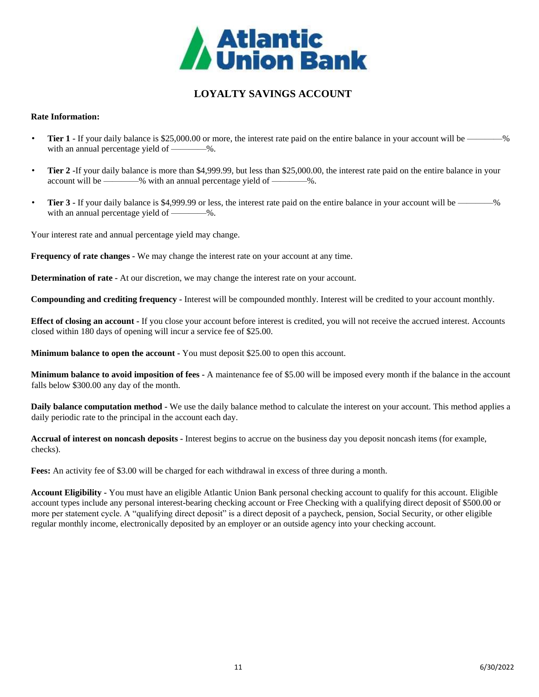

# **LOYALTY SAVINGS ACCOUNT**

## <span id="page-10-0"></span>**Rate Information:**

- **Tier 1** If your daily balance is \$25,000.00 or more, the interest rate paid on the entire balance in your account will be —————% with an annual percentage yield of ————%.
- **Tier 2 -**If your daily balance is more than \$4,999.99, but less than \$25,000.00, the interest rate paid on the entire balance in your account will be —————% with an annual percentage yield of —————%.
- **Tier 3** If your daily balance is \$4,999.99 or less, the interest rate paid on the entire balance in your account will be with an annual percentage yield of ————%.

Your interest rate and annual percentage yield may change.

**Frequency of rate changes -** We may change the interest rate on your account at any time.

**Determination of rate -** At our discretion, we may change the interest rate on your account.

**Compounding and crediting frequency -** Interest will be compounded monthly. Interest will be credited to your account monthly.

**Effect of closing an account -** If you close your account before interest is credited, you will not receive the accrued interest. Accounts closed within 180 days of opening will incur a service fee of \$25.00.

**Minimum balance to open the account -** You must deposit \$25.00 to open this account.

**Minimum balance to avoid imposition of fees -** A maintenance fee of \$5.00 will be imposed every month if the balance in the account falls below \$300.00 any day of the month.

**Daily balance computation method -** We use the daily balance method to calculate the interest on your account. This method applies a daily periodic rate to the principal in the account each day.

**Accrual of interest on noncash deposits -** Interest begins to accrue on the business day you deposit noncash items (for example, checks).

**Fees:** An activity fee of \$3.00 will be charged for each withdrawal in excess of three during a month.

**Account Eligibility -** You must have an eligible Atlantic Union Bank personal checking account to qualify for this account. Eligible account types include any personal interest-bearing checking account or Free Checking with a qualifying direct deposit of \$500.00 or more per statement cycle. A "qualifying direct deposit" is a direct deposit of a paycheck, pension, Social Security, or other eligible regular monthly income, electronically deposited by an employer or an outside agency into your checking account.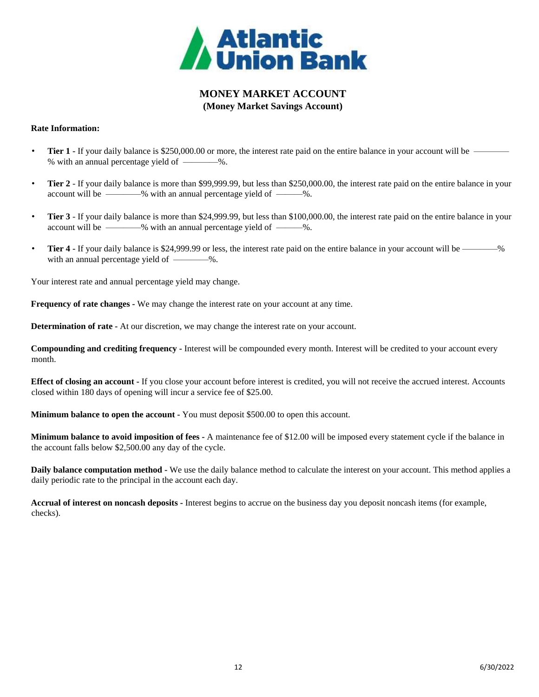

# **MONEY MARKET ACCOUNT (Money Market Savings Account)**

## <span id="page-11-0"></span>**Rate Information:**

- **Tier 1 -** If your daily balance is \$250,000.00 or more, the interest rate paid on the entire balance in your account will be -% with an annual percentage yield of ————%.
- **Tier 2** If your daily balance is more than \$99,999.99, but less than \$250,000.00, the interest rate paid on the entire balance in your account will be ————% with an annual percentage yield of ———%.
- **Tier 3** If your daily balance is more than \$24,999.99, but less than \$100,000.00, the interest rate paid on the entire balance in your account will be ————% with an annual percentage yield of ———%.
- **Tier 4 -** If your daily balance is \$24,999.99 or less, the interest rate paid on the entire balance in your account will be ————% with an annual percentage yield of  $\_\_\_\_\_$ .

Your interest rate and annual percentage yield may change.

**Frequency of rate changes -** We may change the interest rate on your account at any time.

**Determination of rate -** At our discretion, we may change the interest rate on your account.

**Compounding and crediting frequency -** Interest will be compounded every month. Interest will be credited to your account every month.

**Effect of closing an account -** If you close your account before interest is credited, you will not receive the accrued interest. Accounts closed within 180 days of opening will incur a service fee of \$25.00.

**Minimum balance to open the account -** You must deposit \$500.00 to open this account.

**Minimum balance to avoid imposition of fees -** A maintenance fee of \$12.00 will be imposed every statement cycle if the balance in the account falls below \$2,500.00 any day of the cycle.

**Daily balance computation method -** We use the daily balance method to calculate the interest on your account. This method applies a daily periodic rate to the principal in the account each day.

**Accrual of interest on noncash deposits -** Interest begins to accrue on the business day you deposit noncash items (for example, checks).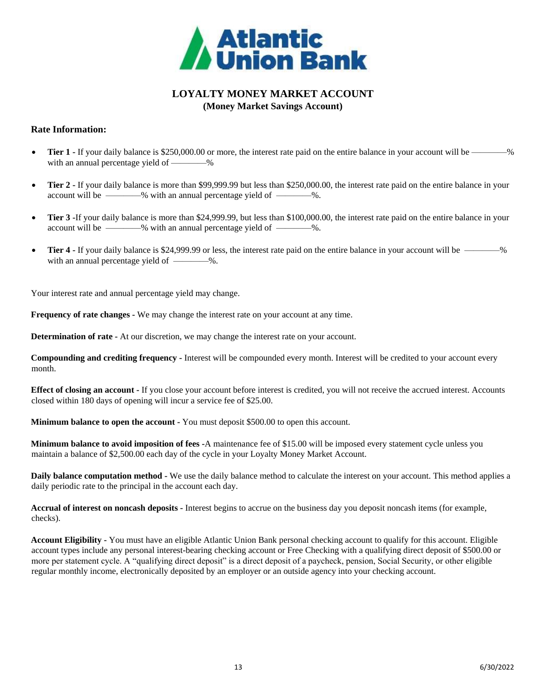

## **LOYALTY MONEY MARKET ACCOUNT (Money Market Savings Account)**

## <span id="page-12-0"></span>**Rate Information:**

- **Tier 1 -** If your daily balance is \$250,000.00 or more, the interest rate paid on the entire balance in your account will be ————% with an annual percentage yield of —————%
- **Tier 2 -** If your daily balance is more than \$99,999.99 but less than \$250,000.00, the interest rate paid on the entire balance in your account will be ————% with an annual percentage yield of ————%.
- Tier 3 -If your daily balance is more than \$24,999.99, but less than \$100,000.00, the interest rate paid on the entire balance in your account will be ————% with an annual percentage yield of ————%.
- **Tier 4 -** If your daily balance is \$24,999.99 or less, the interest rate paid on the entire balance in your account will be —————% with an annual percentage yield of  $\frac{1}{1}$ .

Your interest rate and annual percentage yield may change.

**Frequency of rate changes -** We may change the interest rate on your account at any time.

**Determination of rate -** At our discretion, we may change the interest rate on your account.

**Compounding and crediting frequency -** Interest will be compounded every month. Interest will be credited to your account every month.

**Effect of closing an account -** If you close your account before interest is credited, you will not receive the accrued interest. Accounts closed within 180 days of opening will incur a service fee of \$25.00.

**Minimum balance to open the account -** You must deposit \$500.00 to open this account.

**Minimum balance to avoid imposition of fees -**A maintenance fee of \$15.00 will be imposed every statement cycle unless you maintain a balance of \$2,500.00 each day of the cycle in your Loyalty Money Market Account.

**Daily balance computation method -** We use the daily balance method to calculate the interest on your account. This method applies a daily periodic rate to the principal in the account each day.

**Accrual of interest on noncash deposits -** Interest begins to accrue on the business day you deposit noncash items (for example, checks).

**Account Eligibility -** You must have an eligible Atlantic Union Bank personal checking account to qualify for this account. Eligible account types include any personal interest-bearing checking account or Free Checking with a qualifying direct deposit of \$500.00 or more per statement cycle. A "qualifying direct deposit" is a direct deposit of a paycheck, pension, Social Security, or other eligible regular monthly income, electronically deposited by an employer or an outside agency into your checking account.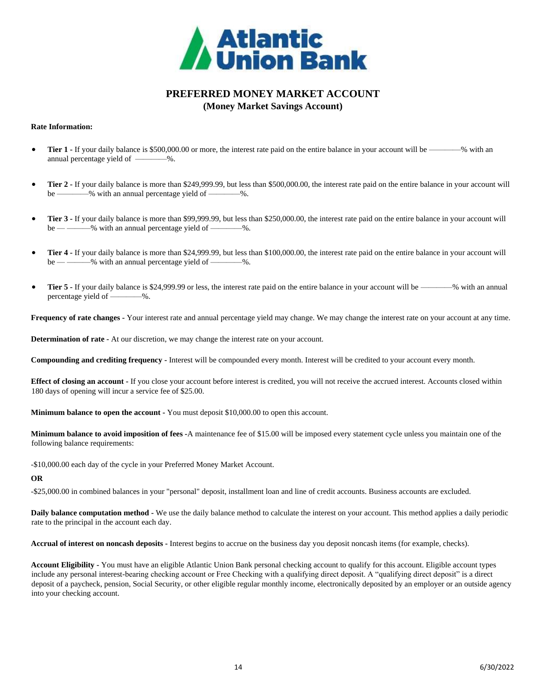

## **PREFERRED MONEY MARKET ACCOUNT (Money Market Savings Account)**

#### <span id="page-13-0"></span>**Rate Information:**

- Tier 1 If your daily balance is \$500,000.00 or more, the interest rate paid on the entire balance in your account will be —————% with an annual percentage yield of  $\_\_\_\_\$ .
- **Tier 2 -** If your daily balance is more than \$249,999.99, but less than \$500,000.00, the interest rate paid on the entire balance in your account will be ————% with an annual percentage yield of ————%.
- **Tier 3 -** If your daily balance is more than \$99,999.99, but less than \$250,000.00, the interest rate paid on the entire balance in your account will be — — — % with an annual percentage yield of — — %.
- **Tier 4 -** If your daily balance is more than \$24,999.99, but less than \$100,000.00, the interest rate paid on the entire balance in your account will be — — — % with an annual percentage yield of — — %.
- **Tier 5** If your daily balance is \$24,999.99 or less, the interest rate paid on the entire balance in your account will be ————% with an annual percentage yield of ————%.

**Frequency of rate changes -** Your interest rate and annual percentage yield may change. We may change the interest rate on your account at any time.

**Determination of rate -** At our discretion, we may change the interest rate on your account.

**Compounding and crediting frequency -** Interest will be compounded every month. Interest will be credited to your account every month.

**Effect of closing an account -** If you close your account before interest is credited, you will not receive the accrued interest. Accounts closed within 180 days of opening will incur a service fee of \$25.00.

**Minimum balance to open the account -** You must deposit \$10,000.00 to open this account.

**Minimum balance to avoid imposition of fees -**A maintenance fee of \$15.00 will be imposed every statement cycle unless you maintain one of the following balance requirements:

-\$10,000.00 each day of the cycle in your Preferred Money Market Account.

#### **OR**

-\$25,000.00 in combined balances in your "personal" deposit, installment loan and line of credit accounts. Business accounts are excluded.

**Daily balance computation method -** We use the daily balance method to calculate the interest on your account. This method applies a daily periodic rate to the principal in the account each day.

**Accrual of interest on noncash deposits -** Interest begins to accrue on the business day you deposit noncash items (for example, checks).

**Account Eligibility -** You must have an eligible Atlantic Union Bank personal checking account to qualify for this account. Eligible account types include any personal interest-bearing checking account or Free Checking with a qualifying direct deposit. A "qualifying direct deposit" is a direct deposit of a paycheck, pension, Social Security, or other eligible regular monthly income, electronically deposited by an employer or an outside agency into your checking account.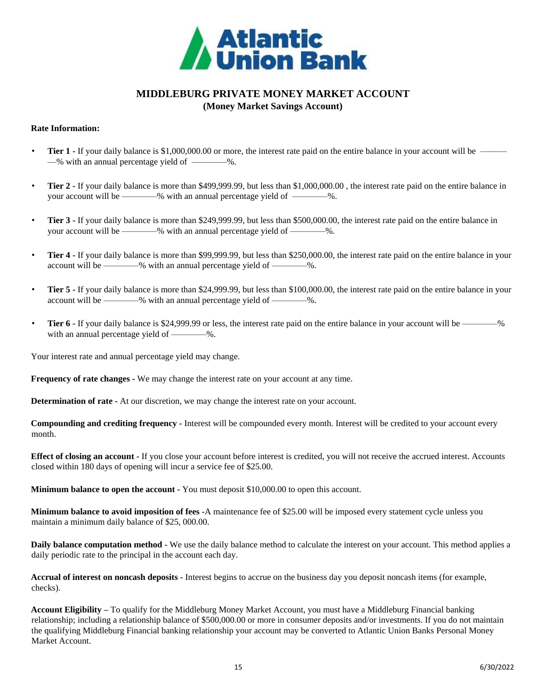

## **MIDDLEBURG PRIVATE MONEY MARKET ACCOUNT (Money Market Savings Account)**

## <span id="page-14-0"></span>**Rate Information:**

- **Tier 1 -** If your daily balance is \$1,000,000.00 or more, the interest rate paid on the entire balance in your account will be —% with an annual percentage yield of ————%.
- **Tier 2 -** If your daily balance is more than \$499,999.99, but less than \$1,000,000.00 , the interest rate paid on the entire balance in your account will be ————% with an annual percentage yield of ————%.
- **Tier 3 -** If your daily balance is more than \$249,999.99, but less than \$500,000.00, the interest rate paid on the entire balance in your account will be ————% with an annual percentage yield of ————%.
- **Tier 4 -** If your daily balance is more than \$99,999.99, but less than \$250,000.00, the interest rate paid on the entire balance in your account will be ————% with an annual percentage yield of ————%.
- **Tier 5 -** If your daily balance is more than \$24,999.99, but less than \$100,000.00, the interest rate paid on the entire balance in your account will be ————% with an annual percentage yield of ————%.
- **Tier 6** If your daily balance is \$24,999.99 or less, the interest rate paid on the entire balance in your account will be ————% with an annual percentage yield of ————%.

Your interest rate and annual percentage yield may change.

**Frequency of rate changes -** We may change the interest rate on your account at any time.

**Determination of rate -** At our discretion, we may change the interest rate on your account.

**Compounding and crediting frequency -** Interest will be compounded every month. Interest will be credited to your account every month.

**Effect of closing an account -** If you close your account before interest is credited, you will not receive the accrued interest. Accounts closed within 180 days of opening will incur a service fee of \$25.00.

**Minimum balance to open the account -** You must deposit \$10,000.00 to open this account.

**Minimum balance to avoid imposition of fees -**A maintenance fee of \$25.00 will be imposed every statement cycle unless you maintain a minimum daily balance of \$25, 000.00.

**Daily balance computation method -** We use the daily balance method to calculate the interest on your account. This method applies a daily periodic rate to the principal in the account each day.

**Accrual of interest on noncash deposits -** Interest begins to accrue on the business day you deposit noncash items (for example, checks).

**Account Eligibility –** To qualify for the Middleburg Money Market Account, you must have a Middleburg Financial banking relationship; including a relationship balance of \$500,000.00 or more in consumer deposits and/or investments. If you do not maintain the qualifying Middleburg Financial banking relationship your account may be converted to Atlantic Union Banks Personal Money Market Account.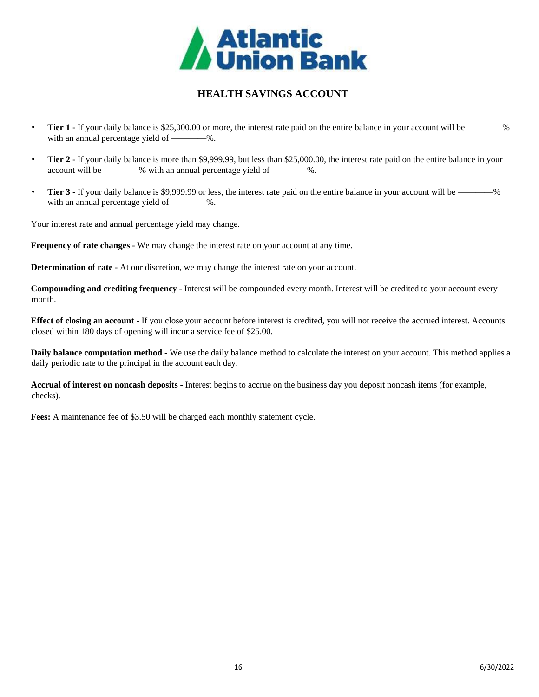

# **HEALTH SAVINGS ACCOUNT**

- <span id="page-15-0"></span>**Tier 1** - If your daily balance is \$25,000.00 or more, the interest rate paid on the entire balance in your account will be with an annual percentage yield of ————%.
- **Tier 2** If your daily balance is more than \$9,999.99, but less than \$25,000.00, the interest rate paid on the entire balance in your account will be ————% with an annual percentage yield of ————%.
- **Tier 3** If your daily balance is \$9,999.99 or less, the interest rate paid on the entire balance in your account will be ————% with an annual percentage yield of ————%.

Your interest rate and annual percentage yield may change.

**Frequency of rate changes -** We may change the interest rate on your account at any time.

**Determination of rate -** At our discretion, we may change the interest rate on your account.

**Compounding and crediting frequency -** Interest will be compounded every month. Interest will be credited to your account every month.

**Effect of closing an account -** If you close your account before interest is credited, you will not receive the accrued interest. Accounts closed within 180 days of opening will incur a service fee of \$25.00.

**Daily balance computation method -** We use the daily balance method to calculate the interest on your account. This method applies a daily periodic rate to the principal in the account each day.

**Accrual of interest on noncash deposits -** Interest begins to accrue on the business day you deposit noncash items (for example, checks).

**Fees:** A maintenance fee of \$3.50 will be charged each monthly statement cycle.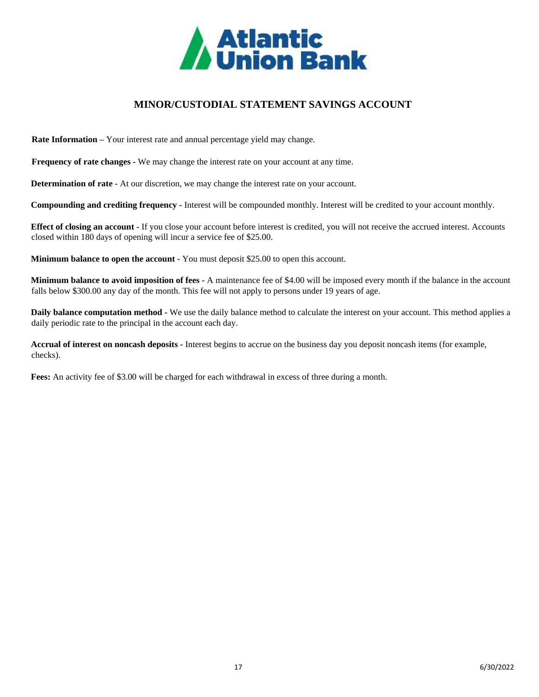

# **MINOR/CUSTODIAL STATEMENT SAVINGS ACCOUNT**

<span id="page-16-0"></span>**Rate Information –** Your interest rate and annual percentage yield may change.

**Frequency of rate changes -** We may change the interest rate on your account at any time.

**Determination of rate -** At our discretion, we may change the interest rate on your account.

**Compounding and crediting frequency -** Interest will be compounded monthly. Interest will be credited to your account monthly.

**Effect of closing an account -** If you close your account before interest is credited, you will not receive the accrued interest. Accounts closed within 180 days of opening will incur a service fee of \$25.00.

**Minimum balance to open the account -** You must deposit \$25.00 to open this account.

**Minimum balance to avoid imposition of fees -** A maintenance fee of \$4.00 will be imposed every month if the balance in the account falls below \$300.00 any day of the month. This fee will not apply to persons under 19 years of age.

**Daily balance computation method -** We use the daily balance method to calculate the interest on your account. This method applies a daily periodic rate to the principal in the account each day.

**Accrual of interest on noncash deposits -** Interest begins to accrue on the business day you deposit noncash items (for example, checks).

**Fees:** An activity fee of \$3.00 will be charged for each withdrawal in excess of three during a month.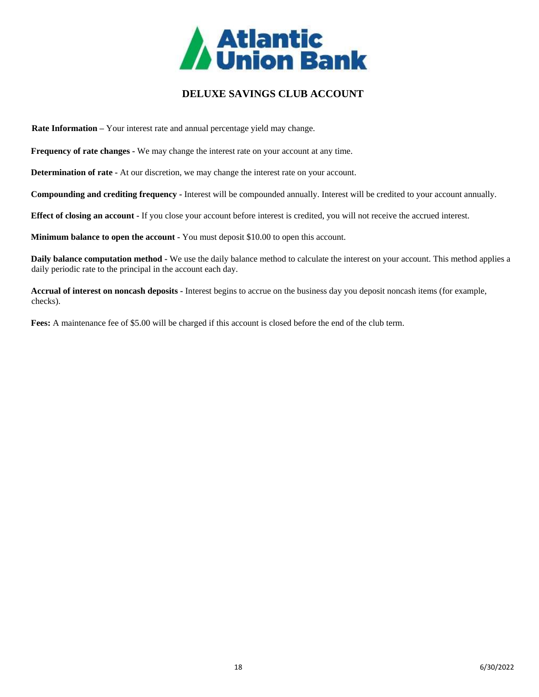

# **DELUXE SAVINGS CLUB ACCOUNT**

<span id="page-17-0"></span>**Rate Information –** Your interest rate and annual percentage yield may change.

**Frequency of rate changes -** We may change the interest rate on your account at any time.

**Determination of rate -** At our discretion, we may change the interest rate on your account.

**Compounding and crediting frequency -** Interest will be compounded annually. Interest will be credited to your account annually.

**Effect of closing an account -** If you close your account before interest is credited, you will not receive the accrued interest.

**Minimum balance to open the account -** You must deposit \$10.00 to open this account.

**Daily balance computation method -** We use the daily balance method to calculate the interest on your account. This method applies a daily periodic rate to the principal in the account each day.

**Accrual of interest on noncash deposits -** Interest begins to accrue on the business day you deposit noncash items (for example, checks).

**Fees:** A maintenance fee of \$5.00 will be charged if this account is closed before the end of the club term.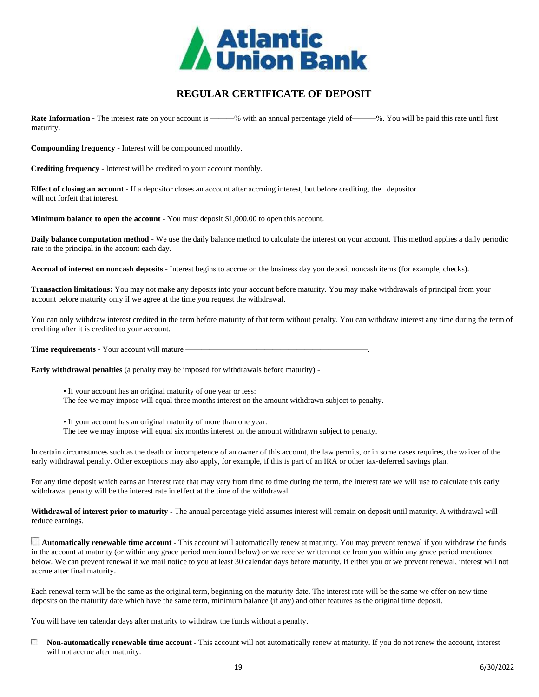

# <span id="page-18-0"></span>**REGULAR CERTIFICATE OF DEPOSIT**

**Rate Information -** The interest rate on your account is ———% with an annual percentage yield of ———%. You will be paid this rate until first maturity.

**Compounding frequency -** Interest will be compounded monthly.

**Crediting frequency -** Interest will be credited to your account monthly.

**Effect of closing an account -** If a depositor closes an account after accruing interest, but before crediting, the depositor will not forfeit that interest.

**Minimum balance to open the account -** You must deposit \$1,000.00 to open this account.

**Daily balance computation method -** We use the daily balance method to calculate the interest on your account. This method applies a daily periodic rate to the principal in the account each day.

**Accrual of interest on noncash deposits -** Interest begins to accrue on the business day you deposit noncash items (for example, checks).

**Transaction limitations:** You may not make any deposits into your account before maturity. You may make withdrawals of principal from your account before maturity only if we agree at the time you request the withdrawal.

You can only withdraw interest credited in the term before maturity of that term without penalty. You can withdraw interest any time during the term of crediting after it is credited to your account.

**Time requirements -** Your account will mature —

**Early withdrawal penalties** (a penalty may be imposed for withdrawals before maturity) -

• If your account has an original maturity of one year or less:

The fee we may impose will equal three months interest on the amount withdrawn subject to penalty.

• If your account has an original maturity of more than one year:

The fee we may impose will equal six months interest on the amount withdrawn subject to penalty.

In certain circumstances such as the death or incompetence of an owner of this account, the law permits, or in some cases requires, the waiver of the early withdrawal penalty. Other exceptions may also apply, for example, if this is part of an IRA or other tax-deferred savings plan.

For any time deposit which earns an interest rate that may vary from time to time during the term, the interest rate we will use to calculate this early withdrawal penalty will be the interest rate in effect at the time of the withdrawal.

**Withdrawal of interest prior to maturity -** The annual percentage yield assumes interest will remain on deposit until maturity. A withdrawal will reduce earnings.

**Automatically renewable time account -** This account will automatically renew at maturity. You may prevent renewal if you withdraw the funds in the account at maturity (or within any grace period mentioned below) or we receive written notice from you within any grace period mentioned below. We can prevent renewal if we mail notice to you at least 30 calendar days before maturity. If either you or we prevent renewal, interest will not accrue after final maturity.

Each renewal term will be the same as the original term, beginning on the maturity date. The interest rate will be the same we offer on new time deposits on the maturity date which have the same term, minimum balance (if any) and other features as the original time deposit.

You will have ten calendar days after maturity to withdraw the funds without a penalty.

п **Non-automatically renewable time account -** This account will not automatically renew at maturity. If you do not renew the account, interest will not accrue after maturity.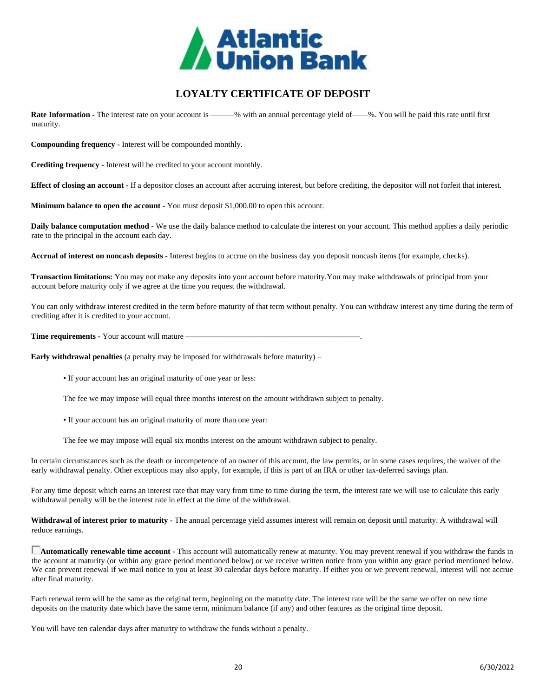

# **LOYALTY CERTIFICATE OF DEPOSIT**

<span id="page-19-0"></span>**Rate Information -** The interest rate on your account is ———% with an annual percentage yield of——%. You will be paid this rate until first maturity.

**Compounding frequency -** Interest will be compounded monthly.

**Crediting frequency -** Interest will be credited to your account monthly.

**Effect of closing an account -** If a depositor closes an account after accruing interest, but before crediting, the depositor will not forfeit that interest.

**Minimum balance to open the account -** You must deposit \$1,000.00 to open this account.

**Daily balance computation method -** We use the daily balance method to calculate the interest on your account. This method applies a daily periodic rate to the principal in the account each day.

**Accrual of interest on noncash deposits -** Interest begins to accrue on the business day you deposit noncash items (for example, checks).

**Transaction limitations:** You may not make any deposits into your account before maturity.You may make withdrawals of principal from your account before maturity only if we agree at the time you request the withdrawal.

You can only withdraw interest credited in the term before maturity of that term without penalty. You can withdraw interest any time during the term of crediting after it is credited to your account.

**Time requirements -** Your account will mature —

**Early withdrawal penalties** (a penalty may be imposed for withdrawals before maturity) –

• If your account has an original maturity of one year or less:

The fee we may impose will equal three months interest on the amount withdrawn subject to penalty.

• If your account has an original maturity of more than one year:

The fee we may impose will equal six months interest on the amount withdrawn subject to penalty.

In certain circumstances such as the death or incompetence of an owner of this account, the law permits, or in some cases requires, the waiver of the early withdrawal penalty. Other exceptions may also apply, for example, if this is part of an IRA or other tax-deferred savings plan.

For any time deposit which earns an interest rate that may vary from time to time during the term, the interest rate we will use to calculate this early withdrawal penalty will be the interest rate in effect at the time of the withdrawal.

**Withdrawal of interest prior to maturity -** The annual percentage yield assumes interest will remain on deposit until maturity. A withdrawal will reduce earnings.

**Automatically renewable time account -** This account will automatically renew at maturity. You may prevent renewal if you withdraw the funds in the account at maturity (or within any grace period mentioned below) or we receive written notice from you within any grace period mentioned below. We can prevent renewal if we mail notice to you at least 30 calendar days before maturity. If either you or we prevent renewal, interest will not accrue after final maturity.

Each renewal term will be the same as the original term, beginning on the maturity date. The interest rate will be the same we offer on new time deposits on the maturity date which have the same term, minimum balance (if any) and other features as the original time deposit.

You will have ten calendar days after maturity to withdraw the funds without a penalty.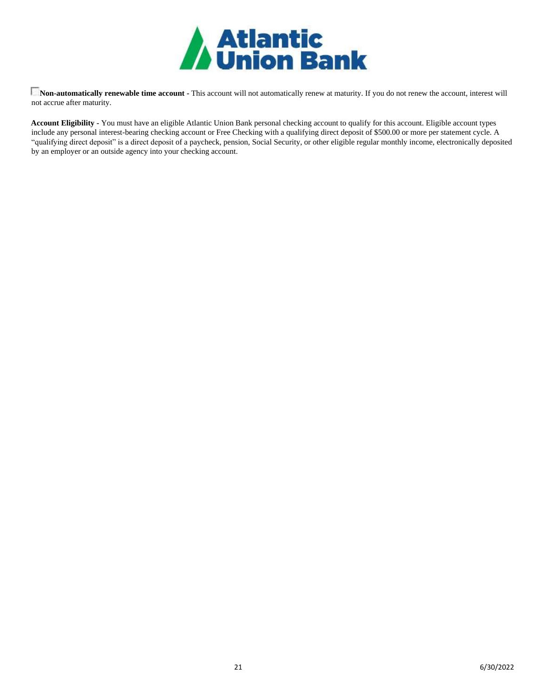

**Non-automatically renewable time account -** This account will not automatically renew at maturity. If you do not renew the account, interest will not accrue after maturity.

**Account Eligibility -** You must have an eligible Atlantic Union Bank personal checking account to qualify for this account. Eligible account types include any personal interest-bearing checking account or Free Checking with a qualifying direct deposit of \$500.00 or more per statement cycle. A "qualifying direct deposit" is a direct deposit of a paycheck, pension, Social Security, or other eligible regular monthly income, electronically deposited by an employer or an outside agency into your checking account.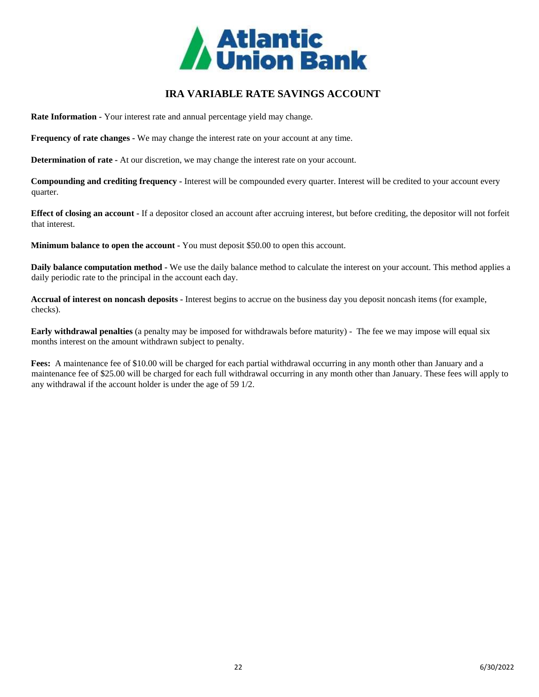

# **IRA VARIABLE RATE SAVINGS ACCOUNT**

<span id="page-21-0"></span>**Rate Information -** Your interest rate and annual percentage yield may change.

**Frequency of rate changes -** We may change the interest rate on your account at any time.

**Determination of rate -** At our discretion, we may change the interest rate on your account.

**Compounding and crediting frequency -** Interest will be compounded every quarter. Interest will be credited to your account every quarter.

**Effect of closing an account -** If a depositor closed an account after accruing interest, but before crediting, the depositor will not forfeit that interest.

**Minimum balance to open the account -** You must deposit \$50.00 to open this account.

**Daily balance computation method -** We use the daily balance method to calculate the interest on your account. This method applies a daily periodic rate to the principal in the account each day.

**Accrual of interest on noncash deposits -** Interest begins to accrue on the business day you deposit noncash items (for example, checks).

**Early withdrawal penalties** (a penalty may be imposed for withdrawals before maturity) - The fee we may impose will equal six months interest on the amount withdrawn subject to penalty.

**Fees:** A maintenance fee of \$10.00 will be charged for each partial withdrawal occurring in any month other than January and a maintenance fee of \$25.00 will be charged for each full withdrawal occurring in any month other than January. These fees will apply to any withdrawal if the account holder is under the age of 59 1/2.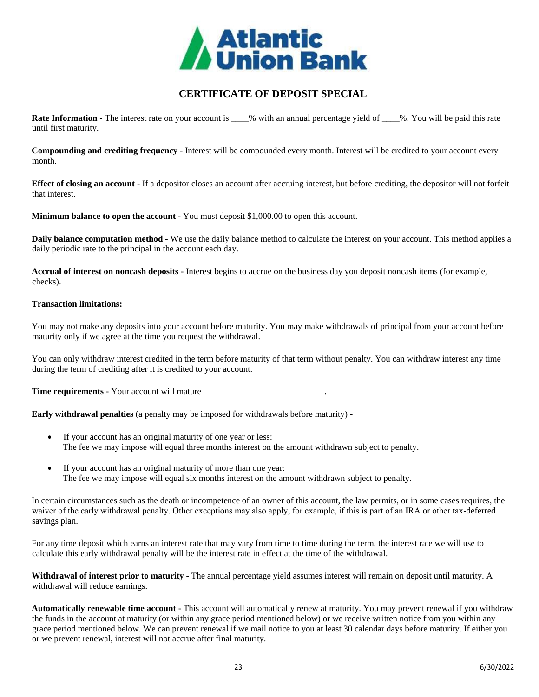

# **CERTIFICATE OF DEPOSIT SPECIAL**

<span id="page-22-0"></span>**Rate Information -** The interest rate on your account is  $\%$  with an annual percentage yield of  $\%$ . You will be paid this rate until first maturity.

**Compounding and crediting frequency -** Interest will be compounded every month. Interest will be credited to your account every month.

**Effect of closing an account -** If a depositor closes an account after accruing interest, but before crediting, the depositor will not forfeit that interest.

**Minimum balance to open the account -** You must deposit \$1,000.00 to open this account.

**Daily balance computation method -** We use the daily balance method to calculate the interest on your account. This method applies a daily periodic rate to the principal in the account each day.

**Accrual of interest on noncash deposits -** Interest begins to accrue on the business day you deposit noncash items (for example, checks).

#### **Transaction limitations:**

You may not make any deposits into your account before maturity. You may make withdrawals of principal from your account before maturity only if we agree at the time you request the withdrawal.

You can only withdraw interest credited in the term before maturity of that term without penalty. You can withdraw interest any time during the term of crediting after it is credited to your account.

**Time requirements -** Your account will mature \_\_\_\_\_\_\_\_\_\_\_\_\_\_\_\_\_\_\_\_\_\_\_\_\_\_\_\_\_\_\_\_\_\_\_

**Early withdrawal penalties** (a penalty may be imposed for withdrawals before maturity) -

- If your account has an original maturity of one year or less: The fee we may impose will equal three months interest on the amount withdrawn subject to penalty.
- If your account has an original maturity of more than one year: The fee we may impose will equal six months interest on the amount withdrawn subject to penalty.

In certain circumstances such as the death or incompetence of an owner of this account, the law permits, or in some cases requires, the waiver of the early withdrawal penalty. Other exceptions may also apply, for example, if this is part of an IRA or other tax-deferred savings plan.

For any time deposit which earns an interest rate that may vary from time to time during the term, the interest rate we will use to calculate this early withdrawal penalty will be the interest rate in effect at the time of the withdrawal.

**Withdrawal of interest prior to maturity -** The annual percentage yield assumes interest will remain on deposit until maturity. A withdrawal will reduce earnings.

**Automatically renewable time account -** This account will automatically renew at maturity. You may prevent renewal if you withdraw the funds in the account at maturity (or within any grace period mentioned below) or we receive written notice from you within any grace period mentioned below. We can prevent renewal if we mail notice to you at least 30 calendar days before maturity. If either you or we prevent renewal, interest will not accrue after final maturity.